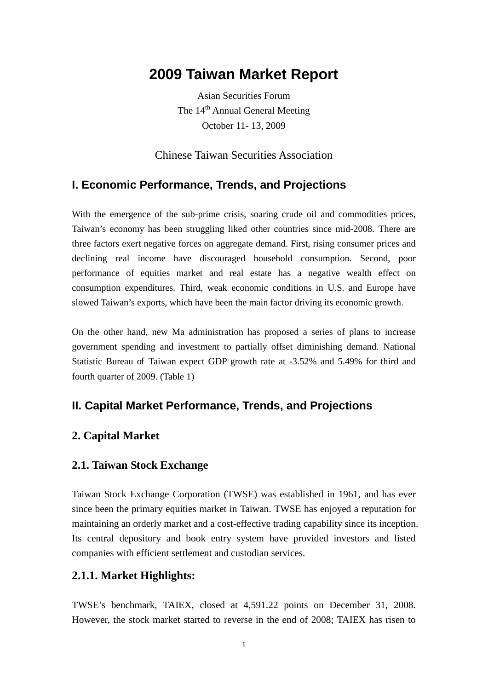# **2009 Taiwan Market Report**

Asian Securities Forum The 14<sup>th</sup> Annual General Meeting October 11- 13, 2009

Chinese Taiwan Securities Association

### **I. Economic Performance, Trends, and Projections**

With the emergence of the sub-prime crisis, soaring crude oil and commodities prices, Taiwan's economy has been struggling liked other countries since mid-2008. There are three factors exert negative forces on aggregate demand. First, rising consumer prices and declining real income have discouraged household consumption. Second, poor performance of equities market and real estate has a negative wealth effect on consumption expenditures. Third, weak economic conditions in U.S. and Europe have slowed Taiwan's exports, which have been the main factor driving its economic growth.

On the other hand, new Ma administration has proposed a series of plans to increase government spending and investment to partially offset diminishing demand. National Statistic Bureau of Taiwan expect GDP growth rate at -3.52% and 5.49% for third and fourth quarter of 2009. (Table 1)

## **II. Capital Market Performance, Trends, and Projections**

### **2. Capital Market**

#### **2.1. Taiwan Stock Exchange**

Taiwan Stock Exchange Corporation (TWSE) was established in 1961, and has ever since been the primary equities market in Taiwan. TWSE has enjoyed a reputation for maintaining an orderly market and a cost-effective trading capability since its inception. Its central depository and book entry system have provided investors and listed companies with efficient settlement and custodian services.

#### **2.1.1. Market Highlights:**

TWSE's benchmark, TAIEX, closed at 4,591.22 points on December 31, 2008. However, the stock market started to reverse in the end of 2008; TAIEX has risen to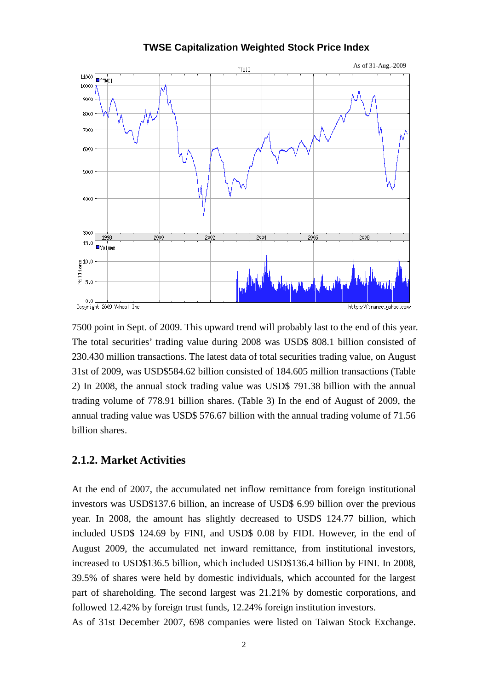

**TWSE Capitalization Weighted Stock Price Index** 

7500 point in Sept. of 2009. This upward trend will probably last to the end of this year. The total securities' trading value during 2008 was USD\$ 808.1 billion consisted of 230.430 million transactions. The latest data of total securities trading value, on August 31st of 2009, was USD\$584.62 billion consisted of 184.605 million transactions (Table 2) In 2008, the annual stock trading value was USD\$ 791.38 billion with the annual trading volume of 778.91 billion shares. (Table 3) In the end of August of 2009, the annual trading value was USD\$ 576.67 billion with the annual trading volume of 71.56 billion shares.

#### **2.1.2. Market Activities**

At the end of 2007, the accumulated net inflow remittance from foreign institutional investors was USD\$137.6 billion, an increase of USD\$ 6.99 billion over the previous year. In 2008, the amount has slightly decreased to USD\$ 124.77 billion, which included USD\$ 124.69 by FINI, and USD\$ 0.08 by FIDI. However, in the end of August 2009, the accumulated net inward remittance, from institutional investors, increased to USD\$136.5 billion, which included USD\$136.4 billion by FINI. In 2008, 39.5% of shares were held by domestic individuals, which accounted for the largest part of shareholding. The second largest was 21.21% by domestic corporations, and followed 12.42% by foreign trust funds, 12.24% foreign institution investors.

As of 31st December 2007, [698](http://www.sfb.gov.tw/reference/point/9412/t01.xls) companies were listed on Taiwan Stock Exchange.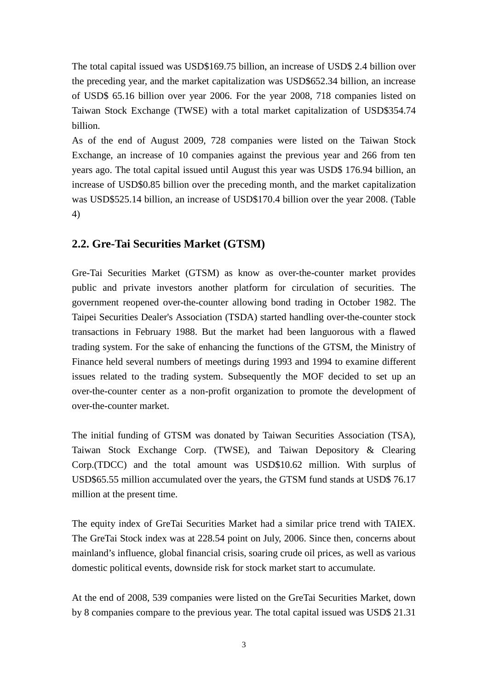The total capital issued was [USD\\$169.75 billion,](http://www.sfb.gov.tw/reference/point/9412/t01.xls) an increase of USD\$ 2.4 billion over the preceding year, and the market capitalization was USD\$652.34 billion, an increase of USD\$ 65.16 billion over year 2006. For the year 2008, 718 companies listed on Taiwan Stock Exchange (TWSE) with a total market capitalization of USD\$354.74 billion.

As of the end of August 2009, 728 companies were listed on the Taiwan Stock Exchange, an increase of 10 companies against the previous year and 266 from ten years ago. The total capital issued until August this year was USD\$ 176.94 billion, an increase of USD\$0.85 billion over the preceding month, and the market capitalization was USD\$525.14 billion, an increase of USD\$170.4 billion over the year 2008. (Table 4)

## **2.2. Gre-Tai Securities Market (GTSM)**

Gre-Tai Securities Market (GTSM) as know as over-the-counter market provides public and private investors another platform for circulation of securities. The government reopened over-the-counter allowing bond trading in October 1982. The Taipei Securities Dealer's Association (TSDA) started handling over-the-counter stock transactions in February 1988. But the market had been languorous with a flawed trading system. For the sake of enhancing the functions of the GTSM, the Ministry of Finance held several numbers of meetings during 1993 and 1994 to examine different issues related to the trading system. Subsequently the MOF decided to set up an over-the-counter center as a non-profit organization to promote the development of over-the-counter market.

The initial funding of GTSM was donated by Taiwan Securities Association (TSA), Taiwan Stock Exchange Corp. (TWSE), and Taiwan Depository & Clearing Corp.(TDCC) and the total amount was USD\$10.62 million. With surplus of USD\$65.55 million accumulated over the years, the GTSM fund stands at USD\$ 76.17 million at the present time.

The equity index of GreTai Securities Market had a similar price trend with TAIEX. The GreTai Stock index was at 228.54 point on July, 2006. Since then, concerns about mainland's influence, global financial crisis, soaring crude oil prices, as well as various domestic political events, downside risk for stock market start to accumulate.

At the end of 2008, 539 companies were listed on the GreTai Securities Market, down by 8 companies compare to the previous year. The total capital issued was USD\$ 21.31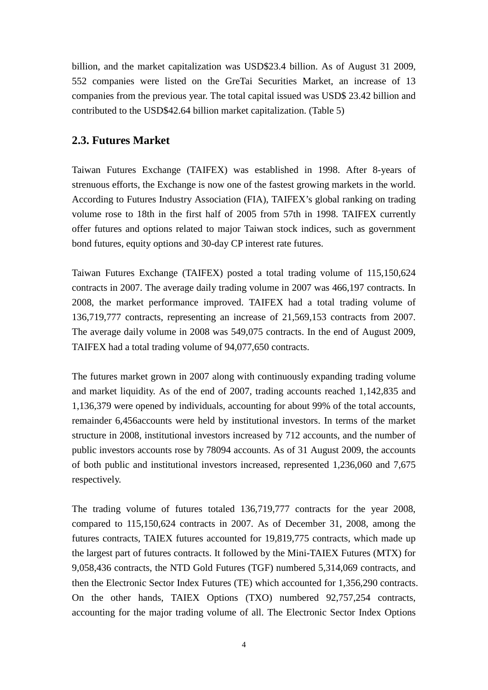billion, and the market capitalization was USD\$23.4 billion. As of August 31 2009, 552 companies were listed on the GreTai Securities Market, an increase of 13 companies from the previous year. The total capital issued was USD\$ 23.42 billion and contributed to the USD\$42.64 billion market capitalization. (Table 5)

### **2.3. Futures Market**

Taiwan Futures Exchange (TAIFEX) was established in 1998. After 8-years of strenuous efforts, the Exchange is now one of the fastest growing markets in the world. According to Futures Industry Association (FIA), TAIFEX's global ranking on trading volume rose to 18th in the first half of 2005 from 57th in 1998. TAIFEX currently offer futures and options related to major Taiwan stock indices, such as government bond futures, equity options and 30-day CP interest rate futures.

Taiwan Futures Exchange (TAIFEX) posted a total trading volume of 115,150,624 contracts in 2007. The average daily trading volume in 2007 was 466,197 contracts. In 2008, the market performance improved. TAIFEX had a total trading volume of 136,719,777 contracts, representing an increase of 21,569,153 contracts from 2007. The average daily volume in 2008 was 549,075 contracts. In the end of August 2009, TAIFEX had a total trading volume of 94,077,650 contracts.

The futures market grown in 2007 along with continuously expanding trading volume and market liquidity. As of the end of 2007, trading accounts reached 1,142,835 and 1,136,379 were opened by individuals, accounting for about 99% of the total accounts, remainder 6,456accounts were held by institutional investors. In terms of the market structure in 2008, institutional investors increased by 712 accounts, and the number of public investors accounts rose by 78094 accounts. As of 31 August 2009, the accounts of both public and institutional investors increased, represented 1,236,060 and 7,675 respectively.

The trading volume of futures totaled 136,719,777 contracts for the year 2008, compared to 115,150,624 contracts in 2007. As of December 31, 2008, among the futures contracts, TAIEX futures accounted for 19,819,775 contracts, which made up the largest part of futures contracts. It followed by the Mini-TAIEX Futures (MTX) for 9,058,436 contracts, the NTD Gold Futures (TGF) numbered 5,314,069 contracts, and then the Electronic Sector Index Futures (TE) which accounted for 1,356,290 contracts. On the other hands, TAIEX Options (TXO) numbered 92,757,254 contracts, accounting for the major trading volume of all. The Electronic Sector Index Options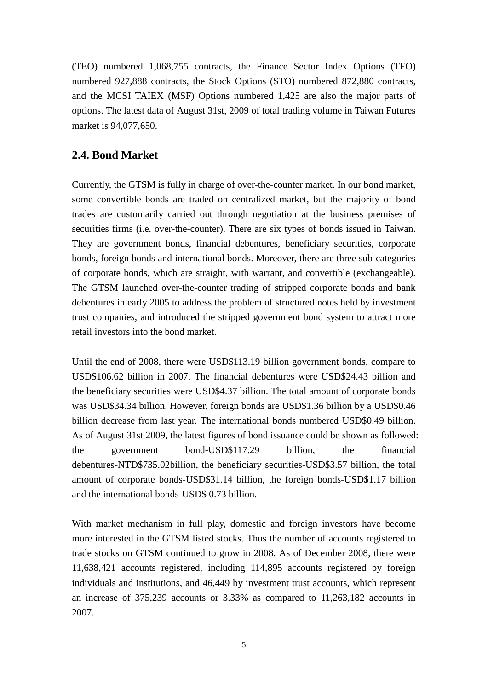(TEO) numbered 1,068,755 contracts, the Finance Sector Index Options (TFO) numbered 927,888 contracts, the Stock Options (STO) numbered 872,880 contracts, and the MCSI TAIEX (MSF) Options numbered 1,425 are also the major parts of options. The latest data of August 31st, 2009 of total trading volume in Taiwan Futures market is 94,077,650.

#### **2.4. Bond Market**

Currently, the GTSM is fully in charge of over-the-counter market. In our bond market, some convertible bonds are traded on centralized market, but the majority of bond trades are customarily carried out through negotiation at the business premises of securities firms (i.e. over-the-counter). There are six types of bonds issued in Taiwan. They are government bonds, financial debentures, beneficiary securities, corporate bonds, foreign bonds and international bonds. Moreover, there are three sub-categories of corporate bonds, which are straight, with warrant, and convertible (exchangeable). The GTSM launched over-the-counter trading of stripped corporate bonds and bank debentures in early 2005 to address the problem of structured notes held by investment trust companies, and introduced the stripped government bond system to attract more retail investors into the bond market.

Until the end of 2008, there were USD\$113.19 billion government bonds, compare to USD\$106.62 billion in 2007. The financial debentures were USD\$24.43 billion and the beneficiary securities were USD\$4.37 billion. The total amount of corporate bonds was USD\$34.34 billion. However, foreign bonds are USD\$1.36 billion by a USD\$0.46 billion decrease from last year. The international bonds numbered USD\$0.49 billion. As of August 31st 2009, the latest figures of bond issuance could be shown as followed: the government bond-USD\$117.29 billion, the financial debentures-NTD\$735.02billion, the beneficiary securities-USD\$3.57 billion, the total amount of corporate bonds-USD\$31.14 billion, the foreign bonds-USD\$1.17 billion and the international bonds-USD\$ 0.73 billion.

With market mechanism in full play, domestic and foreign investors have become more interested in the GTSM listed stocks. Thus the number of accounts registered to trade stocks on GTSM continued to grow in 2008. As of December 2008, there were 11,638,421 accounts registered, including 114,895 accounts registered by foreign individuals and institutions, and 46,449 by investment trust accounts, which represent an increase of 375,239 accounts or 3.33% as compared to 11,263,182 accounts in 2007.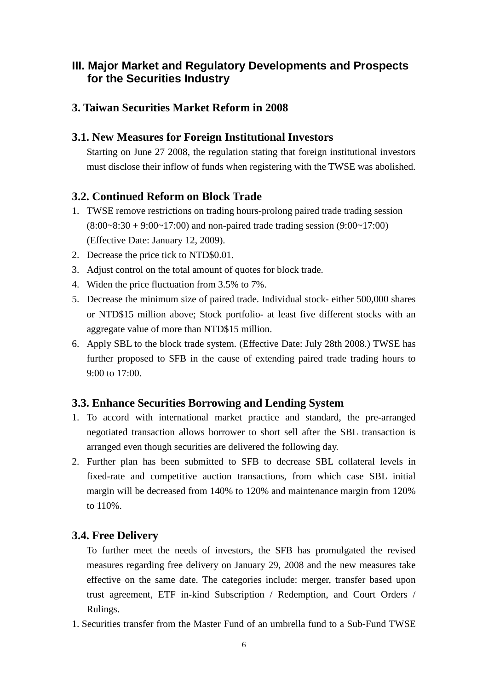## **III. Major Market and Regulatory Developments and Prospects for the Securities Industry**

### **3. Taiwan Securities Market Reform in 2008**

#### **3.1. New Measures for Foreign Institutional Investors**

Starting on June 27 2008, the regulation stating that foreign institutional investors must disclose their inflow of funds when registering with the TWSE was abolished.

### **3.2. Continued Reform on Block Trade**

- 1. TWSE remove restrictions on trading hours-prolong paired trade trading session (8:00~8:30 + 9:00~17:00) and non-paired trade trading session (9:00~17:00) (Effective Date: January 12, 2009).
- 2. Decrease the price tick to NTD\$0.01.
- 3. Adjust control on the total amount of quotes for block trade.
- 4. Widen the price fluctuation from 3.5% to 7%.
- 5. Decrease the minimum size of paired trade. Individual stock- either 500,000 shares or NTD\$15 million above; Stock portfolio- at least five different stocks with an aggregate value of more than NTD\$15 million.
- 6. Apply SBL to the block trade system. (Effective Date: July 28th 2008.) TWSE has further proposed to SFB in the cause of extending paired trade trading hours to 9:00 to 17:00.

### **3.3. Enhance Securities Borrowing and Lending System**

- 1. To accord with international market practice and standard, the pre-arranged negotiated transaction allows borrower to short sell after the SBL transaction is arranged even though securities are delivered the following day.
- 2. Further plan has been submitted to SFB to decrease SBL collateral levels in fixed-rate and competitive auction transactions, from which case SBL initial margin will be decreased from 140% to 120% and maintenance margin from 120% to 110%.

### **3.4. Free Delivery**

To further meet the needs of investors, the SFB has promulgated the revised measures regarding free delivery on January 29, 2008 and the new measures take effective on the same date. The categories include: merger, transfer based upon trust agreement, ETF in-kind Subscription / Redemption, and Court Orders / Rulings.

1. Securities transfer from the Master Fund of an umbrella fund to a Sub-Fund TWSE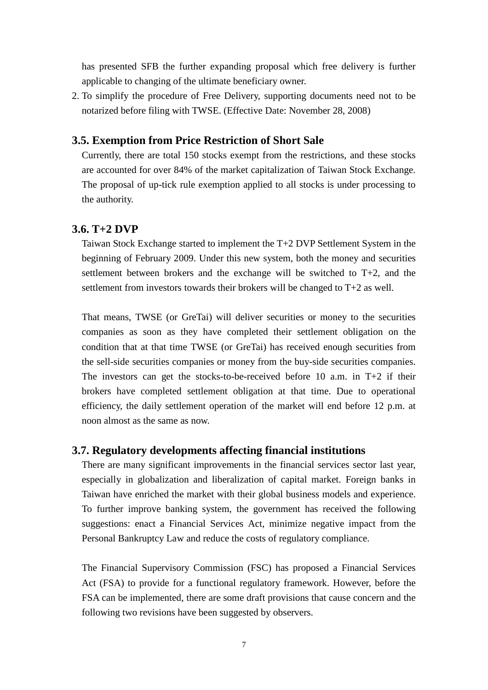has presented SFB the further expanding proposal which free delivery is further applicable to changing of the ultimate beneficiary owner.

2. To simplify the procedure of Free Delivery, supporting documents need not to be notarized before filing with TWSE. (Effective Date: November 28, 2008)

#### **3.5. Exemption from Price Restriction of Short Sale**

Currently, there are total 150 stocks exempt from the restrictions, and these stocks are accounted for over 84% of the market capitalization of Taiwan Stock Exchange. The proposal of up-tick rule exemption applied to all stocks is under processing to the authority.

#### **3.6. T+2 DVP**

Taiwan Stock Exchange started to implement the T+2 DVP Settlement System in the beginning of February 2009. Under this new system, both the money and securities settlement between brokers and the exchange will be switched to T+2, and the settlement from investors towards their brokers will be changed to T+2 as well.

That means, TWSE (or GreTai) will deliver securities or money to the securities companies as soon as they have completed their settlement obligation on the condition that at that time TWSE (or GreTai) has received enough securities from the sell-side securities companies or money from the buy-side securities companies. The investors can get the stocks-to-be-received before 10 a.m. in  $T+2$  if their brokers have completed settlement obligation at that time. Due to operational efficiency, the daily settlement operation of the market will end before 12 p.m. at noon almost as the same as now.

#### **3.7. Regulatory developments affecting financial institutions**

There are many significant improvements in the financial services sector last year, especially in globalization and liberalization of capital market. Foreign banks in Taiwan have enriched the market with their global business models and experience. To further improve banking system, the government has received the following suggestions: enact a Financial Services Act, minimize negative impact from the Personal Bankruptcy Law and reduce the costs of regulatory compliance.

The Financial Supervisory Commission (FSC) has proposed a Financial Services Act (FSA) to provide for a functional regulatory framework. However, before the FSA can be implemented, there are some draft provisions that cause concern and the following two revisions have been suggested by observers.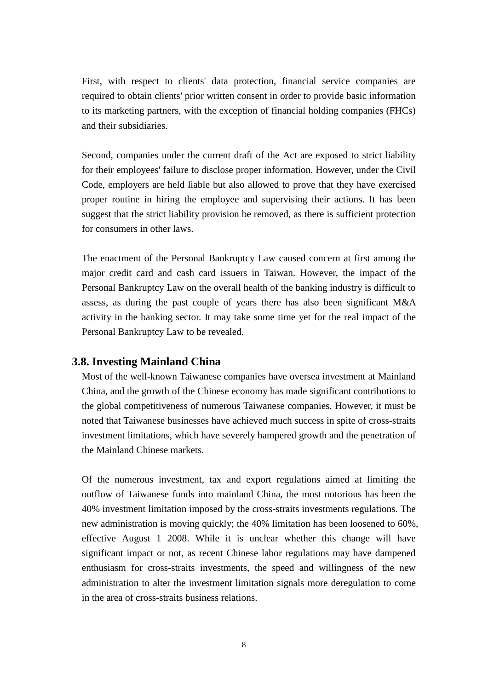First, with respect to clients' data protection, financial service companies are required to obtain clients' prior written consent in order to provide basic information to its marketing partners, with the exception of financial holding companies (FHCs) and their subsidiaries.

Second, companies under the current draft of the Act are exposed to strict liability for their employees' failure to disclose proper information. However, under the Civil Code, employers are held liable but also allowed to prove that they have exercised proper routine in hiring the employee and supervising their actions. It has been suggest that the strict liability provision be removed, as there is sufficient protection for consumers in other laws.

The enactment of the Personal Bankruptcy Law caused concern at first among the major credit card and cash card issuers in Taiwan. However, the impact of the Personal Bankruptcy Law on the overall health of the banking industry is difficult to assess, as during the past couple of years there has also been significant M&A activity in the banking sector. It may take some time yet for the real impact of the Personal Bankruptcy Law to be revealed.

#### **3.8. Investing Mainland China**

Most of the well-known Taiwanese companies have oversea investment at Mainland China, and the growth of the Chinese economy has made significant contributions to the global competitiveness of numerous Taiwanese companies. However, it must be noted that Taiwanese businesses have achieved much success in spite of cross-straits investment limitations, which have severely hampered growth and the penetration of the Mainland Chinese markets.

Of the numerous investment, tax and export regulations aimed at limiting the outflow of Taiwanese funds into mainland China, the most notorious has been the 40% investment limitation imposed by the cross-straits investments regulations. The new administration is moving quickly; the 40% limitation has been loosened to 60%, effective August 1 2008. While it is unclear whether this change will have significant impact or not, as recent Chinese labor regulations may have dampened enthusiasm for cross-straits investments, the speed and willingness of the new administration to alter the investment limitation signals more deregulation to come in the area of cross-straits business relations.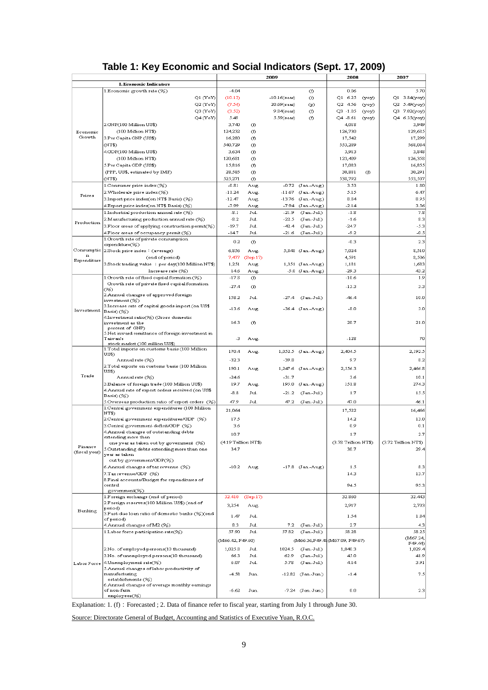## **Table 1: Key Economic and Social Indicators (Sept. 17, 2009)**

|               |                                                                                        |                              |                | 2009                |                                | 2008                           |       | 2007                         |
|---------------|----------------------------------------------------------------------------------------|------------------------------|----------------|---------------------|--------------------------------|--------------------------------|-------|------------------------------|
|               | I. Economic Indicators                                                                 |                              |                |                     |                                |                                |       |                              |
|               | 1. Economic growth rate (%)<br>$Q1$ $(YoY)$                                            | $-4.04$<br>(10.13)           |                | $-10.16$ (saar)     | G)<br>$\circ$                  | 0.06<br>Q16.25                 | (yoy) | 5.70<br>Q1 3.84(yoy)         |
|               | Q2 (YoY)                                                                               | (7.54)                       |                | $20.69$ (saar)      | $\circled{r}$                  | Q2 4.56                        | (yoy) | Q2 5.49(yoy)                 |
|               | Q3 (YoY)                                                                               | (3.52)                       |                | $9.84$ (saar)       | Œ)                             | $Q3 - 1.05$                    | (yoy) | Q3 7.02(yoy)                 |
|               | Q4 (YoY)                                                                               | 5.49                         |                | 5.59(saar)          | G)                             | $Q4 - 8.61$                    | (yoy) | Q4 6.35(yoy)                 |
|               | 2.GNP(100 Million US\$)                                                                | 3,740                        | œ,             |                     |                                | 4,018                          |       | 3,949                        |
| Economic      | (100 Million NT\$)                                                                     | 124,232                      | O)             |                     |                                | 126,730                        |       | 129,685                      |
| Growth        | 3.Per Capita GNP (US\$)                                                                | 16,280                       | Œ)             |                     |                                | 17,542                         |       | 17,299                       |
|               | (NT\$)<br>4.GDP(100 Million US\$)                                                      | 540,729<br>3,634             | Œ)<br>Œ)       |                     |                                | 553,289<br>3,913               |       | 568,084<br>3,848             |
|               | (100 Million NT\$)                                                                     | 120,681                      | Œ)             |                     |                                | 123,409                        |       | 126,358                      |
|               | 5.Per Capita GDP (US\$)                                                                | 15,816                       | (f)            |                     |                                | 17,083                         |       | 16,855                       |
|               | (PPP, US\$, estimated by IMF)                                                          | 28,585                       | O)             |                     |                                | 30,881                         | O     | 30,291                       |
|               | (NT\$)                                                                                 | 525,271                      | Œ)             |                     |                                | 538,792                        |       | 553,507                      |
|               | 1.Consumer price index (%)                                                             | $-0.81$                      | Aug.           | $-0.72$             | (Jan.-Aug.)                    | 3.53                           |       | 1.80                         |
| Prices        | 2.Wholesale price index (%)                                                            | $-11.24$                     | Aug.           | $-11.67$            | (Jan.-Aug.)                    | 5.15                           |       | 6.47                         |
|               | 3.Import price index(on NT\$ Basis) (%)<br>4.Export price index(on NT\$ Basis) (%)     | $-12.47$<br>$-7.99$          | Aug.<br>Aug.   | $-13.76$<br>$-7.94$ | (Jan.-Aug.)<br>(Jan.-Aug.)     | 8.84<br>$-2.14$                |       | 8.95<br>3.56                 |
|               | 1.Industrial production annual rate $(\%)$                                             | $-8.1$                       | Jul.           | $-21.9$             | $(Jan.-Jul.)$                  | $-1.8$                         |       | 7.8                          |
|               | 2.Manufacturing production annual rate (%)                                             | $-8.2$                       | Jul.           | $-22.5$             | $(Jan.-Jul.)$                  | $-1.6$                         |       | 8.3                          |
| Production    | 3.Floor areas of applying construction permit(%)                                       | $-19.7$                      | Jul.           | $-42.4$             | $(Jan.-Jul.)$                  | $-24.7$                        |       | $-5.3$                       |
|               | 4.Floor areas of occupancy permit (%)                                                  | $-14.7$                      | Jul.           | $-21.6$             | $(Jan.-Jul.)$                  | $-9.2$                         |       | $-0.5$                       |
|               | 1. Growth rate of private consumption                                                  | 0.2                          | Œ)             |                     |                                | $-0.3$                         |       | 2.3                          |
| Consumptio    | expenditure(%)<br>2.Stock price index: (average)                                       | 6,856                        | Aug.           |                     | 5,848 (Jan.-Aug.)              | 7,024                          |       | 8,510                        |
| $\mathbf n$   | (end of period)                                                                        |                              | 7,477 (Sep.17) |                     |                                | 4,591                          |       | 8,506                        |
| Expenditure   | 3.Stock trading value : per day(100 Million NT\$)                                      | 1,251                        | Aug.           |                     | 1,351 (Jan.-Aug.)              | 1,181                          |       | 1,683                        |
|               | Increase rate $(\%)$                                                                   | 14.6                         | Aug.           |                     | $-5.0$ (Jan.-Aug.)             | $-29.3$                        |       | 43.2                         |
|               | 1. Growth rate of fixed capital formation (%)                                          | $-17.8$                      | (f)            |                     |                                | $-10.6$                        |       | 1.9                          |
|               | Growth rate of private fixed capital formation<br>06)                                  | $-27.4$                      | (f)            |                     |                                | $-13.3$                        |       | 3.3                          |
|               | 2.Annual changes of approved foreign                                                   | 158.2                        | Jul.           | $-27.4$             | $(Jan.-Jul.)$                  | -46.4                          |       | 10.0                         |
|               | investment (%)                                                                         |                              |                |                     |                                |                                |       |                              |
| Investment    | 3.Increase rate of capital goods import (on US\$<br>Basis) (%)                         | $-13.6$                      | Aug.           |                     | -36.4 (Jan.-Aug.)              | $-8.0$                         |       | 3.0                          |
|               | 4.Investment ratio(%) (Gross domestic                                                  |                              |                |                     |                                |                                |       |                              |
|               | investment as the<br>percent of GNP)                                                   | 16.3                         | Œ)             |                     |                                | 20.7                           |       | 21.0                         |
|               | 5. Net inward remittance of foreign investment in                                      |                              |                |                     |                                |                                |       |                              |
|               | Taiwan's                                                                               | -3                           | Aug.           |                     |                                | $-128$                         |       | 70                           |
|               | stock market (100 million US\$)<br>1. Total imports on customs basis (100 Million      |                              |                |                     |                                |                                |       |                              |
|               | US\$)                                                                                  | 170.4                        | Aug.           |                     | 1,052.5 (Jan.-Aug.)            | 2,404.5                        |       | 2,192.5                      |
|               | Annual rate (%)<br>2.Total exports on customs basis (100 Million                       | $-32.3$                      |                | $-39.8$             |                                | 9.7                            |       | 8.2                          |
|               | US\$)                                                                                  | 190.1                        | Aug.           |                     | 1,247.6 (Jan.-Aug.)            | 2,556.3                        |       | 2,466.8                      |
| Trade         | Annual rate (%)                                                                        | $-24.6$                      |                | $-31.7$             |                                | 3.6                            |       | 10.1                         |
|               | 3.Balance of foreign trade (100 Million US\$)                                          | 19.7                         | Aug.           | 195.0               | (Jan.-Aug.)                    | 151.8                          |       | 274.3                        |
|               | 4.Annual rate of export orders received (on US\$<br>Basis) (%)                         | $-8.8$                       | Jul.           | $-21.2$             | $(Jan.-Jul.)$                  | 1.7                            |       | 15.5                         |
|               | 5. Overseas production ratio of export orders (%)                                      | 47.9                         | Jul.           | 47.2                | $(Jan.-Jul.)$                  | 47.0                           |       | 46.1                         |
|               | 1.Central government expenditures (100 Million                                         | 21,064                       |                |                     |                                | 17,522                         |       | 16,466                       |
|               | NT\$)<br>2.Central government expenditures/GDP (%)                                     | 17.5                         |                |                     |                                | 14.2                           |       | 13.0                         |
|               | 3.Central government deficit/GDP (%)                                                   | 3.6                          |                |                     |                                | 0.9                            |       | 0.1                          |
|               | 4.Annual changes of outstanding debts                                                  | 10.7                         |                |                     |                                | 1.7                            |       | 2.7                          |
|               | extending more than                                                                    |                              |                |                     |                                |                                |       |                              |
| Finance       | one year as taken out by government (%)<br>5.Outstanding debts extending more than one | (4.19 Trillion NT\$)<br>34.7 |                |                     |                                | (3.78 Trillion NT\$)<br>30.7   |       | (3.72 Trillion NT\$)<br>29.4 |
| (fiscal year) | year as taken                                                                          |                              |                |                     |                                |                                |       |                              |
|               | out by government/GDP(%)                                                               |                              |                |                     |                                |                                |       |                              |
|               | 6.Annual changes of tax revenue (%)                                                    | $-10.2$                      | Aug.           |                     | -17.8 (Jan.-Aug.)              | 1.5                            |       | 8.3                          |
|               | 7.Tax revenue/GDP (%)<br>8.Final accounts/Budget for expenditures of                   |                              |                |                     |                                | 14.3                           |       | 13.7                         |
|               | central                                                                                |                              |                |                     |                                | 94.5                           |       | 95.3                         |
|               | government(%)                                                                          |                              |                |                     |                                |                                |       |                              |
|               | 1.Foreign exchange (end of period)                                                     | 32.410                       | (Sep.17)       |                     |                                | 32.860                         |       | 32.443                       |
|               | 2.Foreign reserves(100 Million US\$) (end of<br>period)                                | 3,254                        | Aug.           |                     |                                | 2,917                          |       | 2,703                        |
| Banking       | 3.Past-due loan ratio of domestic banks (%)(end                                        | 1.47                         | Jul.           |                     |                                | 1.54                           |       | 1.84                         |
|               | of period)<br>4. Annual changes of M2 (%)                                              | 8.3                          | Jul.           | 7.2                 | $(Jan.-Jul.)$                  | 2.7                            |       | 4.3                          |
|               | 1. Labor force participation rate(%)                                                   | 57.90                        | Jul.           | 57.82               | $(Jan.-Jul.)$                  | 58.28                          |       | 58.25                        |
|               |                                                                                        | (M66.42, F49.60)             |                |                     |                                | (M66.36,F49.48(M67.09, F49.67) |       | (M67.24,                     |
|               |                                                                                        |                              |                |                     |                                |                                |       | F49.44                       |
|               | 2.No. of employed persons(10 thousand)<br>3.No. of unemployed persons(10 thousand)     | 1,025.8                      | Jul.           | 1024.5<br>62.9      | $(Jan.-Jul.)$                  | 1,040.3                        |       | 1,029.4<br>41.9              |
|               | 4.Unemployment rate(%)                                                                 | 66.3<br>6.07                 | Jul.<br>Jul.   | 5.78                | $(Jan.-Jul.)$<br>$(Jan.-Jul.)$ | 45.0<br>4.14                   |       | 3.91                         |
| Labor Force   | 5.Annual changes of labor productivity of                                              |                              |                |                     |                                |                                |       |                              |
|               | manufacturing                                                                          | $-4.58$                      | Jun.           |                     | -12.82 (Jan.-Jun.)             | $-1.4$                         |       | 7.5                          |
|               | establishments (%)<br>6.Annual changes of average monthly earnings                     |                              |                |                     |                                |                                |       |                              |
|               | of non-farm                                                                            | $-6.62$                      | Jun.           |                     | -7.24 (Jan.-Jun.)              | 0.0                            |       | 2.3                          |
|               | employes(%)                                                                            |                              |                |                     |                                |                                |       |                              |

Explanation: 1. (f): Forecasted ; 2. Data of finance refer to fiscal year, starting from July 1 through June 30.

Source: Directorate General of Budget, Accounting and Statistics of Executive Yuan, R.O.C.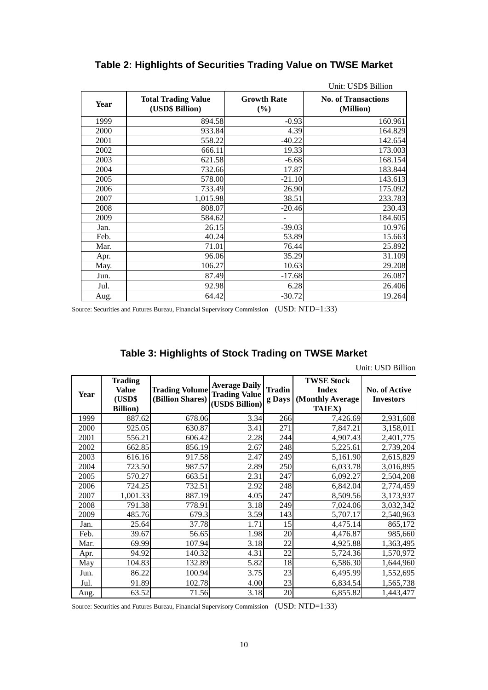|             |                                               |                              | Unit: USD\$ Billion                     |
|-------------|-----------------------------------------------|------------------------------|-----------------------------------------|
| <b>Year</b> | <b>Total Trading Value</b><br>(USD\$ Billion) | <b>Growth Rate</b><br>$(\%)$ | <b>No. of Transactions</b><br>(Million) |
| 1999        | 894.58                                        | $-0.93$                      | 160.961                                 |
| 2000        | 933.84                                        | 4.39                         | 164.829                                 |
| 2001        | 558.22                                        | $-40.22$                     | 142.654                                 |
| 2002        | 666.11                                        | 19.33                        | 173.003                                 |
| 2003        | 621.58                                        | $-6.68$                      | 168.154                                 |
| 2004        | 732.66                                        | 17.87                        | 183.844                                 |
| 2005        | 578.00                                        | $-21.10$                     | 143.613                                 |
| 2006        | 733.49                                        | 26.90                        | 175.092                                 |
| 2007        | 1,015.98                                      | 38.51                        | 233.783                                 |
| 2008        | 808.07                                        | $-20.46$                     | 230.43                                  |
| 2009        | 584.62                                        |                              | 184.605                                 |
| Jan.        | 26.15                                         | $-39.03$                     | 10.976                                  |
| Feb.        | 40.24                                         | 53.89                        | 15.663                                  |
| Mar.        | 71.01                                         | 76.44                        | 25.892                                  |
| Apr.        | 96.06                                         | 35.29                        | 31.109                                  |
| May.        | 106.27                                        | 10.63                        | 29.208                                  |
| Jun.        | 87.49                                         | $-17.68$                     | 26.087                                  |
| Jul.        | 92.98                                         | 6.28                         | 26.406                                  |
| Aug.        | 64.42                                         | $-30.72$                     | 19.264                                  |

## **Table 2: Highlights of Securities Trading Value on TWSE Market**

Source: Securities and Futures Bureau, Financial Supervisory Commission (USD: NTD=1:33)

### **Table 3: Highlights of Stock Trading on TWSE Market**

Unit: USD Billion

| Year | <b>Trading</b><br><b>Value</b><br>(USD\$<br><b>Billion</b> ) | <b>Trading Volume</b><br>(Billion Shares) | <b>Average Daily</b><br><b>Trading Value</b><br>(USD\$ Billion) | <b>Tradin</b><br>g Days | <b>TWSE Stock</b><br><b>Index</b><br>(Monthly Average<br><b>TAIEX</b> ) | No. of Active<br><b>Investors</b> |
|------|--------------------------------------------------------------|-------------------------------------------|-----------------------------------------------------------------|-------------------------|-------------------------------------------------------------------------|-----------------------------------|
| 1999 | 887.62                                                       | 678.06                                    | 3.34                                                            | 266                     | 7,426.69                                                                | 2,931,608                         |
| 2000 | 925.05                                                       | 630.87                                    | 3.41                                                            | 271                     | 7,847.21                                                                | 3,158,011                         |
| 2001 | 556.21                                                       | 606.42                                    | 2.28                                                            | 244                     | 4,907.43                                                                | 2,401,775                         |
| 2002 | 662.85                                                       | 856.19                                    | 2.67                                                            | 248                     | 5,225.61                                                                | 2,739,204                         |
| 2003 | 616.16                                                       | 917.58                                    | 2.47                                                            | 249                     | 5,161.90                                                                | 2,615,829                         |
| 2004 | 723.50                                                       | 987.57                                    | 2.89                                                            | 250                     | 6,033.78                                                                | 3,016,895                         |
| 2005 | 570.27                                                       | 663.51                                    | 2.31                                                            | 247                     | 6,092.27                                                                | 2,504,208                         |
| 2006 | 724.25                                                       | 732.51                                    | 2.92                                                            | 248                     | 6,842.04                                                                | 2,774,459                         |
| 2007 | 1,001.33                                                     | 887.19                                    | 4.05                                                            | 247                     | 8,509.56                                                                | 3,173,937                         |
| 2008 | 791.38                                                       | 778.91                                    | 3.18                                                            | 249                     | 7,024.06                                                                | 3,032,342                         |
| 2009 | 485.76                                                       | 679.3                                     | 3.59                                                            | 143                     | 5,707.17                                                                | 2,540,963                         |
| Jan. | 25.64                                                        | 37.78                                     | 1.71                                                            | 15                      | 4,475.14                                                                | 865,172                           |
| Feb. | 39.67                                                        | 56.65                                     | 1.98                                                            | 20                      | 4,476.87                                                                | 985,660                           |
| Mar. | 69.99                                                        | 107.94                                    | 3.18                                                            | 22                      | 4,925.88                                                                | 1,363,495                         |
| Apr. | 94.92                                                        | 140.32                                    | 4.31                                                            | 22                      | 5,724.36                                                                | 1,570,972                         |
| May  | 104.83                                                       | 132.89                                    | 5.82                                                            | 18                      | 6,586.30                                                                | 1,644,960                         |
| Jun. | 86.22                                                        | 100.94                                    | 3.75                                                            | 23                      | 6,495.99                                                                | 1,552,695                         |
| Jul. | 91.89                                                        | 102.78                                    | 4.00                                                            | 23                      | 6,834.54                                                                | 1,565,738                         |
| Aug. | 63.52                                                        | 71.56                                     | 3.18                                                            | 20                      | 6,855.82                                                                | 1,443,477                         |

Source: Securities and Futures Bureau, Financial Supervisory Commission (USD: NTD=1:33)